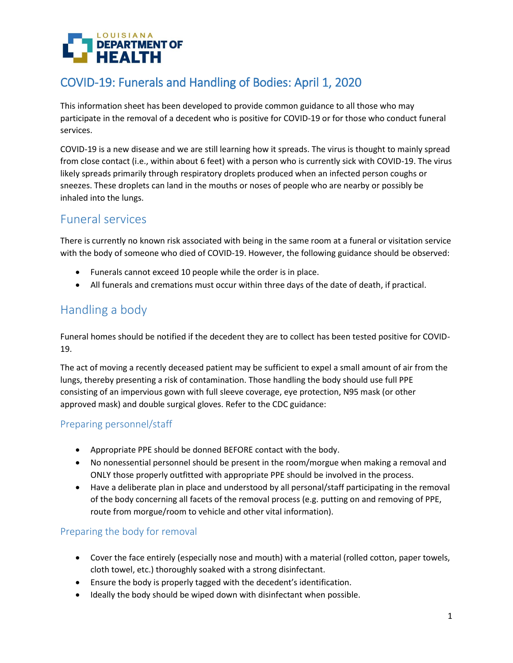

# COVID-19: Funerals and Handling of Bodies: April 1, 2020

This information sheet has been developed to provide common guidance to all those who may participate in the removal of a decedent who is positive for COVID-19 or for those who conduct funeral services.

COVID-19 is a new disease and we are still learning how it spreads. The virus is thought to mainly spread from close contact (i.e., within about 6 feet) with a person who is currently sick with COVID-19. The virus likely spreads primarily through respiratory droplets produced when an infected person coughs or sneezes. These droplets can land in the mouths or noses of people who are nearby or possibly be inhaled into the lungs.

### Funeral services

There is currently no known risk associated with being in the same room at a funeral or visitation service with the body of someone who died of COVID-19. However, the following guidance should be observed:

- Funerals cannot exceed 10 people while the order is in place.
- All funerals and cremations must occur within three days of the date of death, if practical.

### Handling a body

Funeral homes should be notified if the decedent they are to collect has been tested positive for COVID-19.

The act of moving a recently deceased patient may be sufficient to expel a small amount of air from the lungs, thereby presenting a risk of contamination. Those handling the body should use full PPE consisting of an impervious gown with full sleeve coverage, eye protection, N95 mask (or other approved mask) and double surgical gloves. Refer to the CDC guidance:

#### Preparing personnel/staff

- Appropriate PPE should be donned BEFORE contact with the body.
- No nonessential personnel should be present in the room/morgue when making a removal and ONLY those properly outfitted with appropriate PPE should be involved in the process.
- Have a deliberate plan in place and understood by all personal/staff participating in the removal of the body concerning all facets of the removal process (e.g. putting on and removing of PPE, route from morgue/room to vehicle and other vital information).

#### Preparing the body for removal

- Cover the face entirely (especially nose and mouth) with a material (rolled cotton, paper towels, cloth towel, etc.) thoroughly soaked with a strong disinfectant.
- Ensure the body is properly tagged with the decedent's identification.
- Ideally the body should be wiped down with disinfectant when possible.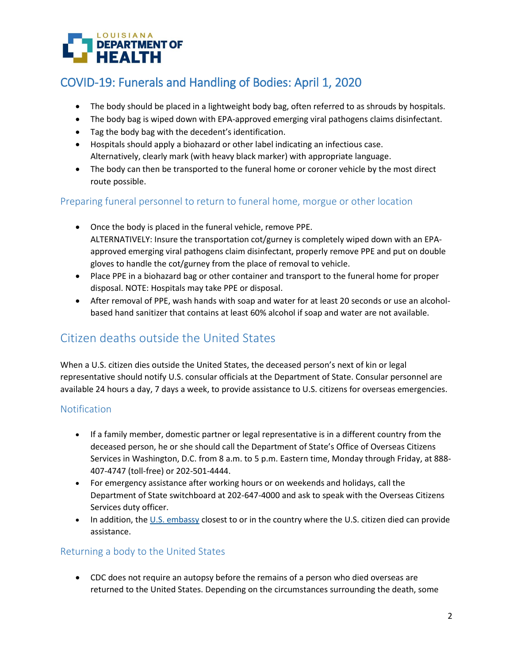

# COVID-19: Funerals and Handling of Bodies: April 1, 2020

- The body should be placed in a lightweight body bag, often referred to as shrouds by hospitals.
- The body bag is wiped down with EPA-approved emerging viral pathogens claims disinfectant.
- Tag the body bag with the decedent's identification.
- Hospitals should apply a biohazard or other label indicating an infectious case. Alternatively, clearly mark (with heavy black marker) with appropriate language.
- The body can then be transported to the funeral home or coroner vehicle by the most direct route possible.

#### Preparing funeral personnel to return to funeral home, morgue or other location

- Once the body is placed in the funeral vehicle, remove PPE. ALTERNATIVELY: Insure the transportation cot/gurney is completely wiped down with an EPAapproved emerging viral pathogens claim disinfectant, properly remove PPE and put on double gloves to handle the cot/gurney from the place of removal to vehicle.
- Place PPE in a biohazard bag or other container and transport to the funeral home for proper disposal. NOTE: Hospitals may take PPE or disposal.
- After removal of PPE, wash hands with soap and water for at least 20 seconds or use an alcoholbased hand sanitizer that contains at least 60% alcohol if soap and water are not available.

## Citizen deaths outside the United States

When a U.S. citizen dies outside the United States, the deceased person's next of kin or legal representative should notify U.S. consular officials at the Department of State. Consular personnel are available 24 hours a day, 7 days a week, to provide assistance to U.S. citizens for overseas emergencies.

#### Notification

- If a family member, domestic partner or legal representative is in a different country from the deceased person, he or she should call the Department of State's Office of Overseas Citizens Services in Washington, D.C. from 8 a.m. to 5 p.m. Eastern time, Monday through Friday, at 888- 407-4747 (toll-free) or 202-501-4444.
- For emergency assistance after working hours or on weekends and holidays, call the Department of State switchboard at 202-647-4000 and ask to speak with the Overseas Citizens Services duty officer.
- In addition, the [U.S. embassy](https://www.usembassy.gov/) closest to or in the country where the U.S. citizen died can provide assistance.

#### Returning a body to the United States

 CDC does not require an autopsy before the remains of a person who died overseas are returned to the United States. Depending on the circumstances surrounding the death, some